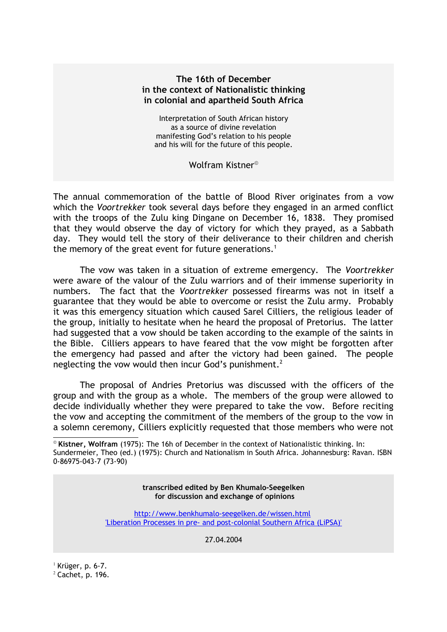### **The 16th of December in the context of Nationalistic thinking in colonial and apartheid South Africa**

Interpretation of South African history as a source of divine revelation manifesting God's relation to his people and his will for the future of this people.

Wolfram Kistner

The annual commemoration of the battle of Blood River originates from a vow which the *Voortrekker* took several days before they engaged in an armed conflict with the troops of the Zulu king Dingane on December 16, 1838. They promised that they would observe the day of victory for which they prayed, as a Sabbath day. They would tell the story of their deliverance to their children and cherish the memory of the great event for future generations.<sup>[1](#page-0-1)</sup>

The vow was taken in a situation of extreme emergency. The *Voortrekker* were aware of the valour of the Zulu warriors and of their immense superiority in numbers. The fact that the *Voortrekker* possessed firearms was not in itself a guarantee that they would be able to overcome or resist the Zulu army. Probably it was this emergency situation which caused Sarel Cilliers, the religious leader of the group, initially to hesitate when he heard the proposal of Pretorius. The latter had suggested that a vow should be taken according to the example of the saints in the Bible. Cilliers appears to have feared that the vow might be forgotten after the emergency had passed and after the victory had been gained. The people neglecting the vow would then incur God's punishment.<sup>[2](#page-0-2)</sup>

The proposal of Andries Pretorius was discussed with the officers of the group and with the group as a whole. The members of the group were allowed to decide individually whether they were prepared to take the vow. Before reciting the vow and accepting the commitment of the members of the group to the vow in a solemn ceremony, Cilliers explicitly requested that those members who were not

**transcribed edited by Ben Khumalo-Seegelken for discussion and exchange of opinions**

<http://www.benkhumalo-seegelken.de/wissen.html> ['Liberation Processes in pre- and post-colonial Southern Africa \(LiPSA\)'](http://www.benkhumalo-seegelken.de/dokumente/Liberation-Processes-in-pre-and-post-colonial-Southern-Africa.pdf)

27.04.2004

<span id="page-0-1"></span> $<sup>1</sup>$  Krüger, p. 6-7.</sup>

<span id="page-0-2"></span> $2$  Cachet, p. 196.

<span id="page-0-0"></span>**Kistner, Wolfram** (1975): The 16h of December in the context of Nationalistic thinking. In: Sundermeier, Theo (ed.) (1975): Church and Nationalism in South Africa. Johannesburg: Ravan. ISBN 0-86975-043-7 (73-90)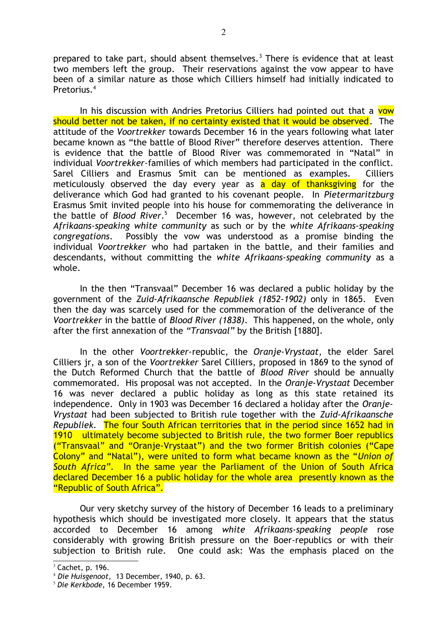prepared to take part, should absent themselves.<sup>[3](#page-1-0)</sup> There is evidence that at least two members left the group. Their reservations against the vow appear to have been of a similar nature as those which Cilliers himself had initially indicated to Pretorius<sup>[4](#page-1-1)</sup>

In his discussion with Andries Pretorius Cilliers had pointed out that a vow should better not be taken, if no certainty existed that it would be observed. The attitude of the *Voortrekker* towards December 16 in the years following what later became known as "the battle of Blood River" therefore deserves attention. There is evidence that the battle of Blood River was commemorated in "Natal" in individual *Voortrekker-*families of which members had participated in the conflict. Sarel Cilliers and Erasmus Smit can be mentioned as examples. Cilliers meticulously observed the day every year as  $a$  day of thanksgiving for the deliverance which God had granted to his covenant people. In *Pietermaritzburg* Erasmus Smit invited people into his house for commemorating the deliverance in the battle of *Blood River*. [5](#page-1-2) December 16 was, however, not celebrated by the *Afrikaans-speaking white community* as such or by the *white Afrikaans-speaking congregations*. Possibly the vow was understood as a promise binding the individual *Voortrekker* who had partaken in the battle, and their families and descendants, without committing the *white Afrikaans-speaking community* as a whole.

In the then "Transvaal" December 16 was declared a public holiday by the government of the *Zuid-Afrikaansche Republiek (1852-1902)* only in 1865. Even then the day was scarcely used for the commemoration of the deliverance of the *Voortrekker* in the battle of *Blood River (1838)*. This happened, on the whole, only after the first annexation of the *"Transvaal"* by the British [1880].

In the other *Voortrekker-*republic, the *Oranje-Vrystaat*, the elder Sarel Cilliers jr, a son of the *Voortrekker* Sarel Cilliers, proposed in 1869 to the synod of the Dutch Reformed Church that the battle of *Blood River* should be annually commemorated. His proposal was not accepted. In the *Oranje-Vrystaat* December 16 was never declared a public holiday as long as this state retained its independence. Only in 1903 was December 16 declared a holiday after the *Oranje-Vrystaat* had been subjected to British rule together with the *Zuid-Afrikaansche Republiek.* The four South African territories that in the period since 1652 had in 1910 ultimately become subjected to British rule, the two former Boer republics ("Transvaal" and "Oranje-Vrystaat") and the two former British colonies ("Cape Colony" and "Natal"), were united to form what became known as the "*Union of South Africa"*. In the same year the Parliament of the Union of South Africa declared December 16 a public holiday for the whole area presently known as the "Republic of South Africa".

Our very sketchy survey of the history of December 16 leads to a preliminary hypothesis which should be investigated more closely. It appears that the status accorded to December 16 among *white Afrikaans-speaking people* rose considerably with growing British pressure on the Boer-republics or with their subjection to British rule. One could ask: Was the emphasis placed on the

<span id="page-1-0"></span> $3$  Cachet, p. 196.

<span id="page-1-1"></span><sup>4</sup> *Die Huisgenoot,* 13 December, 1940, p. 63.

<span id="page-1-2"></span><sup>5</sup> *Die Kerkbode,* 16 December 1959.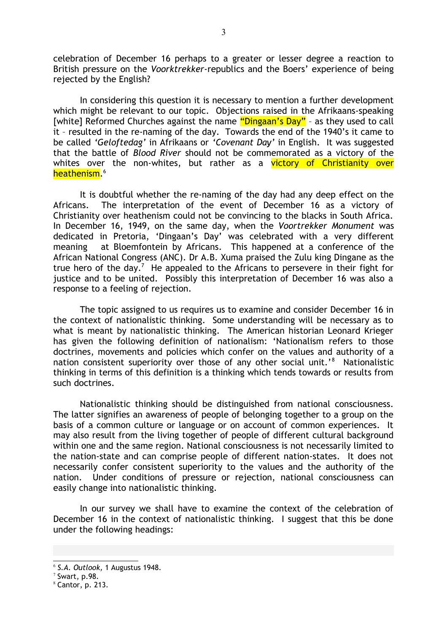celebration of December 16 perhaps to a greater or lesser degree a reaction to British pressure on the *Voorktrekker-*republics and the Boers' experience of being rejected by the English?

In considering this question it is necessary to mention a further development which might be relevant to our topic. Objections raised in the Afrikaans-speaking [white] Reformed Churches against the name "Dingaan's Day" - as they used to call it – resulted in the re-naming of the day. Towards the end of the 1940's it came to be called *'Geloftedag'* in Afrikaans or *'Covenant Day'* in English. It was suggested that the battle of *Blood River* should not be commemorated as a victory of the whites over the non-whites, but rather as a victory of Christianity over <mark>heathenism</mark>.<sup>[6](#page-2-0)</sup>

It is doubtful whether the re-naming of the day had any deep effect on the Africans. The interpretation of the event of December 16 as a victory of Christianity over heathenism could not be convincing to the blacks in South Africa. In December 16, 1949, on the same day, when the *Voortrekker Monument* was dedicated in Pretoria, 'Dingaan's Day' was celebrated with a very different meaning at Bloemfontein by Africans. This happened at a conference of the African National Congress (ANC). Dr A.B. Xuma praised the Zulu king Dingane as the true hero of the day.<sup>[7](#page-2-1)</sup> He appealed to the Africans to persevere in their fight for justice and to be united. Possibly this interpretation of December 16 was also a response to a feeling of rejection.

The topic assigned to us requires us to examine and consider December 16 in the context of nationalistic thinking. Some understanding will be necessary as to what is meant by nationalistic thinking. The American historian Leonard Krieger has given the following definition of nationalism: 'Nationalism refers to those doctrines, movements and policies which confer on the values and authority of a nation consistent superiority over those of any other social unit.'<sup>[8](#page-2-2)</sup> Nationalistic thinking in terms of this definition is a thinking which tends towards or results from such doctrines.

Nationalistic thinking should be distinguished from national consciousness. The latter signifies an awareness of people of belonging together to a group on the basis of a common culture or language or on account of common experiences. It may also result from the living together of people of different cultural background within one and the same region. National consciousness is not necessarily limited to the nation-state and can comprise people of different nation-states. It does not necessarily confer consistent superiority to the values and the authority of the nation. Under conditions of pressure or rejection, national consciousness can easily change into nationalistic thinking.

In our survey we shall have to examine the context of the celebration of December 16 in the context of nationalistic thinking. I suggest that this be done under the following headings:

<span id="page-2-0"></span><sup>6</sup> *S.A. Outlook,* 1 Augustus 1948.

<span id="page-2-1"></span> $7$  Swart, p.98.

<span id="page-2-2"></span> $8$  Cantor, p. 213.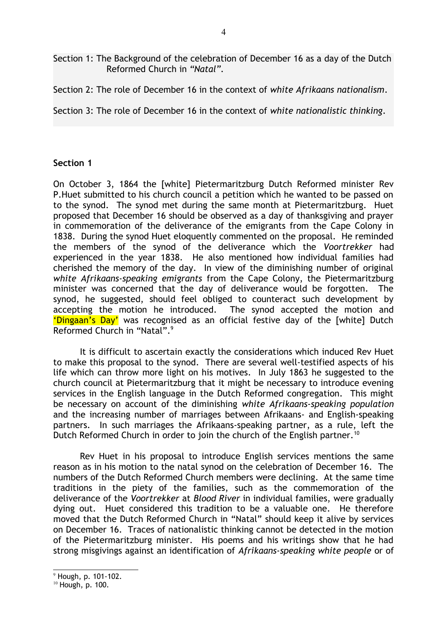Section 1: The Background of the celebration of December 16 as a day of the Dutch Reformed Church in *"Natal".*

Section 2: The role of December 16 in the context of *white Afrikaans nationalism*.

Section 3: The role of December 16 in the context of *white nationalistic thinking*.

### **Section 1**

On October 3, 1864 the [white] Pietermaritzburg Dutch Reformed minister Rev P.Huet submitted to his church council a petition which he wanted to be passed on to the synod. The synod met during the same month at Pietermaritzburg. Huet proposed that December 16 should be observed as a day of thanksgiving and prayer in commemoration of the deliverance of the emigrants from the Cape Colony in 1838. During the synod Huet eloquently commented on the proposal. He reminded the members of the synod of the deliverance which the *Voortrekker* had experienced in the year 1838. He also mentioned how individual families had cherished the memory of the day. In view of the diminishing number of original *white Afrikaans-speaking emigrants* from the Cape Colony, the Pietermaritzburg minister was concerned that the day of deliverance would be forgotten. The synod, he suggested, should feel obliged to counteract such development by accepting the motion he introduced. The synod accepted the motion and 'Dingaan's Day' was recognised as an official festive day of the [white] Dutch Reformed Church in "Natal".[9](#page-3-0)

It is difficult to ascertain exactly the considerations which induced Rev Huet to make this proposal to the synod. There are several well-testified aspects of his life which can throw more light on his motives. In July 1863 he suggested to the church council at Pietermaritzburg that it might be necessary to introduce evening services in the English language in the Dutch Reformed congregation. This might be necessary on account of the diminishing *white Afrikaans-speaking population* and the increasing number of marriages between Afrikaans- and English-speaking partners. In such marriages the Afrikaans-speaking partner, as a rule, left the Dutch Reformed Church in order to join the church of the English partner.<sup>[10](#page-3-1)</sup>

Rev Huet in his proposal to introduce English services mentions the same reason as in his motion to the natal synod on the celebration of December 16. The numbers of the Dutch Reformed Church members were declining. At the same time traditions in the piety of the families, such as the commemoration of the deliverance of the *Voortrekker* at *Blood River* in individual families, were gradually dying out. Huet considered this tradition to be a valuable one. He therefore moved that the Dutch Reformed Church in "Natal" should keep it alive by services on December 16. Traces of nationalistic thinking cannot be detected in the motion of the Pietermaritzburg minister. His poems and his writings show that he had strong misgivings against an identification of *Afrikaans-speaking white people* or of

<span id="page-3-0"></span> $9$  Hough, p. 101-102.

<span id="page-3-1"></span><sup>10</sup> Hough, p. 100.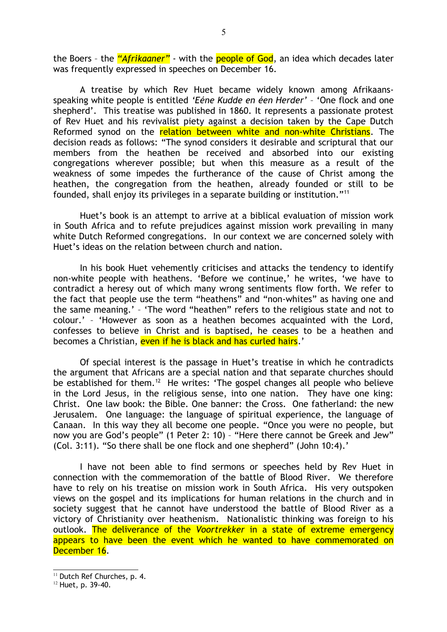the Boers – the *"Afrikaaner"* - with the people of God, an idea which decades later was frequently expressed in speeches on December 16.

A treatise by which Rev Huet became widely known among Afrikaansspeaking white people is entitled *'Eéne Kudde en éen Herder'* – 'One flock and one shepherd'. This treatise was published in 1860. It represents a passionate protest of Rev Huet and his revivalist piety against a decision taken by the Cape Dutch Reformed synod on the relation between white and non-white Christians. The decision reads as follows: "The synod considers it desirable and scriptural that our members from the heathen be received and absorbed into our existing congregations wherever possible; but when this measure as a result of the weakness of some impedes the furtherance of the cause of Christ among the heathen, the congregation from the heathen, already founded or still to be founded, shall enjoy its privileges in a separate building or institution."[11](#page-4-0)

Huet's book is an attempt to arrive at a biblical evaluation of mission work in South Africa and to refute prejudices against mission work prevailing in many white Dutch Reformed congregations. In our context we are concerned solely with Huet's ideas on the relation between church and nation.

In his book Huet vehemently criticises and attacks the tendency to identify non-white people with heathens. 'Before we continue,' he writes, 'we have to contradict a heresy out of which many wrong sentiments flow forth. We refer to the fact that people use the term "heathens" and "non-whites" as having one and the same meaning.' – 'The word "heathen" refers to the religious state and not to colour.' – 'However as soon as a heathen becomes acquainted with the Lord, confesses to believe in Christ and is baptised, he ceases to be a heathen and becomes a Christian, even if he is black and has curled hairs.'

Of special interest is the passage in Huet's treatise in which he contradicts the argument that Africans are a special nation and that separate churches should be established for them.<sup>[12](#page-4-1)</sup> He writes: 'The gospel changes all people who believe in the Lord Jesus, in the religious sense, into one nation. They have one king: Christ. One law book: the Bible. One banner: the Cross. One fatherland: the new Jerusalem. One language: the language of spiritual experience, the language of Canaan. In this way they all become one people. "Once you were no people, but now you are God's people" (1 Peter 2: 10) – "Here there cannot be Greek and Jew" (Col. 3:11). "So there shall be one flock and one shepherd" (John 10:4).'

I have not been able to find sermons or speeches held by Rev Huet in connection with the commemoration of the battle of Blood River. We therefore have to rely on his treatise on mission work in South Africa. His very outspoken views on the gospel and its implications for human relations in the church and in society suggest that he cannot have understood the battle of Blood River as a victory of Christianity over heathenism. Nationalistic thinking was foreign to his outlook. The deliverance of the *Voortrekker* in a state of extreme emergency appears to have been the event which he wanted to have commemorated on December 16.

<span id="page-4-0"></span><sup>&</sup>lt;sup>11</sup> Dutch Ref Churches, p. 4.

<span id="page-4-1"></span><sup>&</sup>lt;sup>12</sup> Huet, p. 39-40.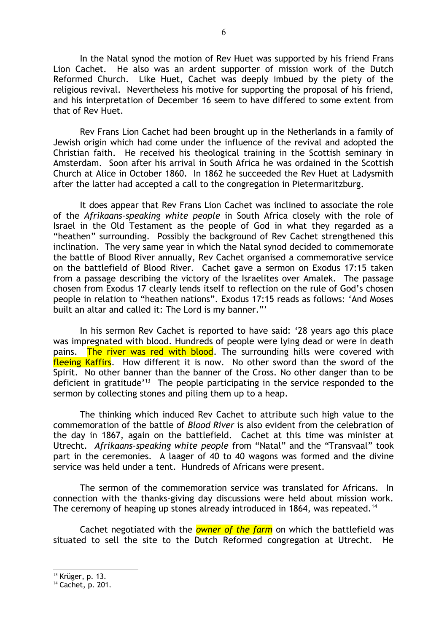In the Natal synod the motion of Rev Huet was supported by his friend Frans Lion Cachet. He also was an ardent supporter of mission work of the Dutch Reformed Church. Like Huet, Cachet was deeply imbued by the piety of the religious revival. Nevertheless his motive for supporting the proposal of his friend, and his interpretation of December 16 seem to have differed to some extent from that of Rev Huet.

Rev Frans Lion Cachet had been brought up in the Netherlands in a family of Jewish origin which had come under the influence of the revival and adopted the Christian faith. He received his theological training in the Scottish seminary in Amsterdam. Soon after his arrival in South Africa he was ordained in the Scottish Church at Alice in October 1860. In 1862 he succeeded the Rev Huet at Ladysmith after the latter had accepted a call to the congregation in Pietermaritzburg.

It does appear that Rev Frans Lion Cachet was inclined to associate the role of the *Afrikaans-speaking white people* in South Africa closely with the role of Israel in the Old Testament as the people of God in what they regarded as a "heathen" surrounding. Possibly the background of Rev Cachet strengthened this inclination. The very same year in which the Natal synod decided to commemorate the battle of Blood River annually, Rev Cachet organised a commemorative service on the battlefield of Blood River. Cachet gave a sermon on Exodus 17:15 taken from a passage describing the victory of the Israelites over Amalek. The passage chosen from Exodus 17 clearly lends itself to reflection on the rule of God's chosen people in relation to "heathen nations". Exodus 17:15 reads as follows: 'And Moses built an altar and called it: The Lord is my banner."'

In his sermon Rev Cachet is reported to have said: '28 years ago this place was impregnated with blood. Hundreds of people were lying dead or were in death pains. The river was red with blood. The surrounding hills were covered with fleeing Kaffirs. How different it is now. No other sword than the sword of the Spirit. No other banner than the banner of the Cross. No other danger than to be deficient in gratitude<sup>'[13](#page-5-0)</sup> The people participating in the service responded to the sermon by collecting stones and piling them up to a heap.

The thinking which induced Rev Cachet to attribute such high value to the commemoration of the battle of *Blood River* is also evident from the celebration of the day in 1867, again on the battlefield. Cachet at this time was minister at Utrecht. *Afrikaans-speaking white people* from "Natal" and the "Transvaal" took part in the ceremonies. A laager of 40 to 40 wagons was formed and the divine service was held under a tent. Hundreds of Africans were present.

The sermon of the commemoration service was translated for Africans. In connection with the thanks-giving day discussions were held about mission work. The ceremony of heaping up stones already introduced in 1864, was repeated.<sup>[14](#page-5-1)</sup>

Cachet negotiated with the *owner of the farm* on which the battlefield was situated to sell the site to the Dutch Reformed congregation at Utrecht. He

<span id="page-5-0"></span> $13$  Krüger, p. 13.

<span id="page-5-1"></span><sup>&</sup>lt;sup>14</sup> Cachet, p. 201.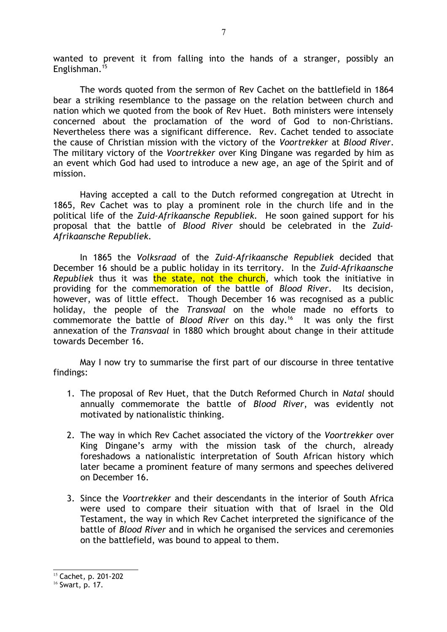wanted to prevent it from falling into the hands of a stranger, possibly an Englishman.[15](#page-6-0)

The words quoted from the sermon of Rev Cachet on the battlefield in 1864 bear a striking resemblance to the passage on the relation between church and nation which we quoted from the book of Rev Huet. Both ministers were intensely concerned about the proclamation of the word of God to non-Christians. Nevertheless there was a significant difference. Rev. Cachet tended to associate the cause of Christian mission with the victory of the *Voortrekker* at *Blood River*. The military victory of the *Voortrekker* over King Dingane was regarded by him as an event which God had used to introduce a new age, an age of the Spirit and of mission.

Having accepted a call to the Dutch reformed congregation at Utrecht in 1865, Rev Cachet was to play a prominent role in the church life and in the political life of the *Zuid-Afrikaansche Republiek.* He soon gained support for his proposal that the battle of *Blood River* should be celebrated in the *Zuid-Afrikaansche Republiek.*

In 1865 the *Volksraad* of the *Zuid-Afrikaansche Republiek* decided that December 16 should be a public holiday in its territory. In the *Zuid-Afrikaansche Republiek* thus it was the state, not the church, which took the initiative in providing for the commemoration of the battle of *Blood River*. Its decision, however, was of little effect. Though December 16 was recognised as a public holiday, the people of the *Transvaal* on the whole made no efforts to commemorate the battle of *Blood River* on this day.[16](#page-6-1) It was only the first annexation of the *Transvaal* in 1880 which brought about change in their attitude towards December 16.

May I now try to summarise the first part of our discourse in three tentative findings:

- 1. The proposal of Rev Huet, that the Dutch Reformed Church in *Natal* should annually commemorate the battle of *Blood River*, was evidently not motivated by nationalistic thinking.
- 2. The way in which Rev Cachet associated the victory of the *Voortrekker* over King Dingane's army with the mission task of the church, already foreshadows a nationalistic interpretation of South African history which later became a prominent feature of many sermons and speeches delivered on December 16.
- 3. Since the *Voortrekker* and their descendants in the interior of South Africa were used to compare their situation with that of Israel in the Old Testament, the way in which Rev Cachet interpreted the significance of the battle of *Blood River* and in which he organised the services and ceremonies on the battlefield, was bound to appeal to them.

<span id="page-6-0"></span><sup>15</sup> Cachet, p. 201-202

<span id="page-6-1"></span><sup>16</sup> Swart, p. 17.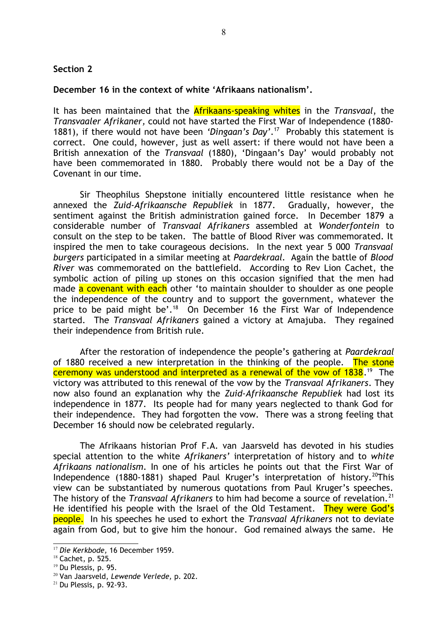### **Section 2**

### **December 16 in the context of white 'Afrikaans nationalism'.**

It has been maintained that the Afrikaans-speaking whites in the *Transvaal*, the *Transvaaler Afrikaner,* could not have started the First War of Independence (1880- 1881), if there would not have been *'Dingaan's Day'*. [17](#page-7-0) Probably this statement is correct. One could, however, just as well assert: if there would not have been a British annexation of the *Transvaal* (1880), 'Dingaan's Day' would probably not have been commemorated in 1880. Probably there would not be a Day of the Covenant in our time.

Sir Theophilus Shepstone initially encountered little resistance when he annexed the *Zuid-Afrikaansche Republiek* in 1877. Gradually, however, the sentiment against the British administration gained force. In December 1879 a considerable number of *Transvaal Afrikaners* assembled at *Wonderfontein* to consult on the step to be taken. The battle of Blood River was commemorated. It inspired the men to take courageous decisions. In the next year 5 000 *Transvaal burgers* participated in a similar meeting at *Paardekraal.* Again the battle of *Blood River* was commemorated on the battlefield. According to Rev Lion Cachet, the symbolic action of piling up stones on this occasion signified that the men had made a covenant with each other 'to maintain shoulder to shoulder as one people the independence of the country and to support the government, whatever the price to be paid might be'.<sup>[18](#page-7-1)</sup> On December 16 the First War of Independence started. The *Transvaal Afrikaners* gained a victory at Amajuba. They regained their independence from British rule.

After the restoration of independence the people's gathering at *Paardekraal* of 1880 received a new interpretation in the thinking of the people. The stone ceremony was understood and interpreted as a renewal of the vow of 1838. [19](#page-7-2) The victory was attributed to this renewal of the vow by the *Transvaal Afrikaners*. They now also found an explanation why the *Zuid-Afrikaansche Republiek* had lost its independence in 1877. Its people had for many years neglected to thank God for their independence. They had forgotten the vow. There was a strong feeling that December 16 should now be celebrated regularly.

The Afrikaans historian Prof F.A. van Jaarsveld has devoted in his studies special attention to the white *Afrikaners'* interpretation of history and to *white Afrikaans nationalism*. In one of his articles he points out that the First War of Independence (1880-1881) shaped Paul Kruger's interpretation of history.<sup>[20](#page-7-3)</sup>This view can be substantiated by numerous quotations from Paul Kruger's speeches. The history of the *Transvaal Afrikaners* to him had become a source of revelation.<sup>[21](#page-7-4)</sup> He identified his people with the Israel of the Old Testament. They were God's people. In his speeches he used to exhort the *Transvaal Afrikaners* not to deviate again from God, but to give him the honour. God remained always the same. He

<span id="page-7-0"></span><sup>17</sup> *Die Kerkbode,* 16 December 1959.

<span id="page-7-1"></span><sup>18</sup> Cachet, p. 525.

<span id="page-7-2"></span><sup>&</sup>lt;sup>19</sup> Du Plessis, p. 95.

<span id="page-7-3"></span><sup>20</sup> Van Jaarsveld, *Lewende Verlede,* p. 202.

<span id="page-7-4"></span> $21$  Du Plessis, p. 92-93.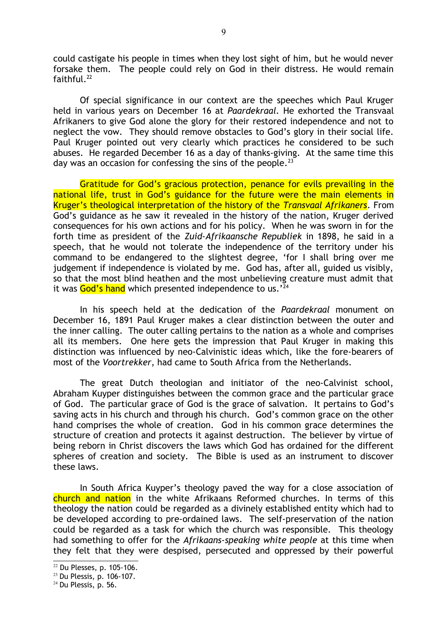could castigate his people in times when they lost sight of him, but he would never forsake them. The people could rely on God in their distress. He would remain faithful. $^{22}$  $^{22}$  $^{22}$ 

Of special significance in our context are the speeches which Paul Kruger held in various years on December 16 at *Paardekraal.* He exhorted the Transvaal Afrikaners to give God alone the glory for their restored independence and not to neglect the vow. They should remove obstacles to God's glory in their social life. Paul Kruger pointed out very clearly which practices he considered to be such abuses. He regarded December 16 as a day of thanks-giving. At the same time this day was an occasion for confessing the sins of the people. $^{23}$  $^{23}$  $^{23}$ 

Gratitude for God's gracious protection, penance for evils prevailing in the national life, trust in God's guidance for the future were the main elements in Kruger's theological interpretation of the history of the *Transvaal Afrikaners*. From God's guidance as he saw it revealed in the history of the nation, Kruger derived consequences for his own actions and for his policy. When he was sworn in for the forth time as president of the *Zuid-Afrikaansche Republiek* in 1898, he said in a speech, that he would not tolerate the independence of the territory under his command to be endangered to the slightest degree, 'for I shall bring over me judgement if independence is violated by me. God has, after all, guided us visibly, so that the most blind heathen and the most unbelieving creature must admit that it was  $God's$  hand which presented independence to us.<sup> $24$ </sup>

In his speech held at the dedication of the *Paardekraal* monument on December 16, 1891 Paul Kruger makes a clear distinction between the outer and the inner calling. The outer calling pertains to the nation as a whole and comprises all its members. One here gets the impression that Paul Kruger in making this distinction was influenced by neo-Calvinistic ideas which, like the fore-bearers of most of the *Voortrekker*, had came to South Africa from the Netherlands.

The great Dutch theologian and initiator of the neo-Calvinist school, Abraham Kuyper distinguishes between the common grace and the particular grace of God. The particular grace of God is the grace of salvation. It pertains to God's saving acts in his church and through his church. God's common grace on the other hand comprises the whole of creation. God in his common grace determines the structure of creation and protects it against destruction. The believer by virtue of being reborn in Christ discovers the laws which God has ordained for the different spheres of creation and society. The Bible is used as an instrument to discover these laws.

In South Africa Kuyper's theology paved the way for a close association of church and nation in the white Afrikaans Reformed churches. In terms of this theology the nation could be regarded as a divinely established entity which had to be developed according to pre-ordained laws. The self-preservation of the nation could be regarded as a task for which the church was responsible. This theology had something to offer for the *Afrikaans-speaking white people* at this time when they felt that they were despised, persecuted and oppressed by their powerful

<span id="page-8-0"></span><sup>22</sup> Du Plesses, p. 105-106.

<span id="page-8-1"></span><sup>23</sup> Du Plessis, p. 106-107.

<span id="page-8-2"></span> $24$  Du Plessis, p. 56.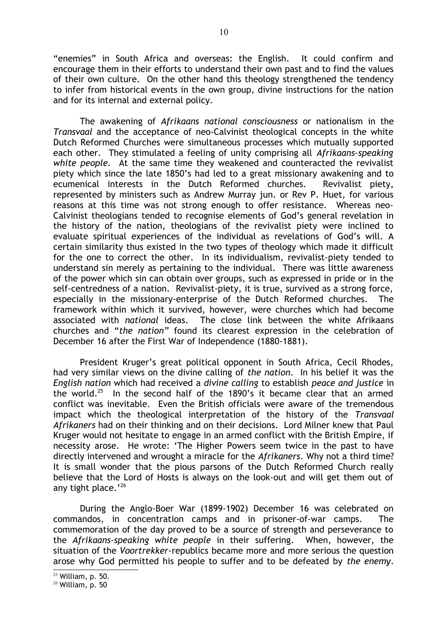"enemies" in South Africa and overseas: the English. It could confirm and encourage them in their efforts to understand their own past and to find the values of their own culture. On the other hand this theology strengthened the tendency to infer from historical events in the own group, divine instructions for the nation and for its internal and external policy.

The awakening of *Afrikaans national consciousness* or nationalism in the *Transvaal* and the acceptance of neo-Calvinist theological concepts in the white Dutch Reformed Churches were simultaneous processes which mutually supported each other. They stimulated a feeling of unity comprising all *Afrikaans-speaking white people.* At the same time they weakened and counteracted the revivalist piety which since the late 1850's had led to a great missionary awakening and to ecumenical interests in the Dutch Reformed churches. Revivalist piety, represented by ministers such as Andrew Murray jun. or Rev P. Huet, for various reasons at this time was not strong enough to offer resistance. Whereas neo-Calvinist theologians tended to recognise elements of God's general revelation in the history of the nation, theologians of the revivalist piety were inclined to evaluate spiritual experiences of the individual as revelations of God's will. A certain similarity thus existed in the two types of theology which made it difficult for the one to correct the other. In its individualism, revivalist-piety tended to understand sin merely as pertaining to the individual. There was little awareness of the power which sin can obtain over groups, such as expressed in pride or in the self-centredness of a nation. Revivalist-piety, it is true, survived as a strong force, especially in the missionary-enterprise of the Dutch Reformed churches. The framework within which it survived, however, were churches which had become associated with *national* ideas. The close link between the white Afrikaans churches and "*the nation"* found its clearest expression in the celebration of December 16 after the First War of Independence (1880-1881).

President Kruger's great political opponent in South Africa, Cecil Rhodes, had very similar views on the divine calling of *the nation*. In his belief it was the *English nation* which had received a *divine calling* to establish *peace and justice* in the world.<sup>[25](#page-9-0)</sup> In the second half of the 1890's it became clear that an armed conflict was inevitable. Even the British officials were aware of the tremendous impact which the theological interpretation of the history of the *Transvaal Afrikaners* had on their thinking and on their decisions. Lord Milner knew that Paul Kruger would not hesitate to engage in an armed conflict with the British Empire, if necessity arose. He wrote: 'The Higher Powers seem twice in the past to have directly intervened and wrought a miracle for the *Afrikaners*. Why not a third time? It is small wonder that the pious parsons of the Dutch Reformed Church really believe that the Lord of Hosts is always on the look-out and will get them out of any tight place. $126$  $126$ 

During the Anglo-Boer War (1899-1902) December 16 was celebrated on commandos, in concentration camps and in prisoner-of-war camps. The commemoration of the day proved to be a source of strength and perseverance to the *Afrikaans-speaking white people* in their suffering. When, however, the situation of the *Voortrekker-*republics became more and more serious the question arose why God permitted his people to suffer and to be defeated by *the enemy*.

<span id="page-9-0"></span> $25$  William, p. 50.

<span id="page-9-1"></span><sup>26</sup> William, p. 50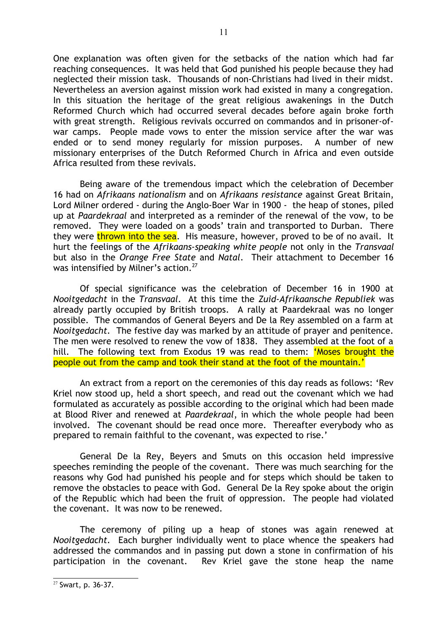One explanation was often given for the setbacks of the nation which had far reaching consequences. It was held that God punished his people because they had neglected their mission task. Thousands of non-Christians had lived in their midst. Nevertheless an aversion against mission work had existed in many a congregation. In this situation the heritage of the great religious awakenings in the Dutch Reformed Church which had occurred several decades before again broke forth with great strength. Religious revivals occurred on commandos and in prisoner-ofwar camps. People made vows to enter the mission service after the war was ended or to send money regularly for mission purposes. A number of new missionary enterprises of the Dutch Reformed Church in Africa and even outside Africa resulted from these revivals.

Being aware of the tremendous impact which the celebration of December 16 had on *Afrikaans nationalism* and on *Afrikaans resistance* against Great Britain, Lord Milner ordered - during the Anglo-Boer War in 1900 - the heap of stones, piled up at *Paardekraal* and interpreted as a reminder of the renewal of the vow, to be removed. They were loaded on a goods' train and transported to Durban. There they were thrown into the sea. His measure, however, proved to be of no avail. It hurt the feelings of the *Afrikaans-speaking white people* not only in the *Transvaal* but also in the *Orange Free State* and *Natal*. Their attachment to December 16 was intensified by Milner's action.<sup>[27](#page-10-0)</sup>

Of special significance was the celebration of December 16 in 1900 at *Nooitgedacht* in the *Transvaal*. At this time the *Zuid-Afrikaansche Republiek* was already partly occupied by British troops. A rally at Paardekraal was no longer possible. The commandos of General Beyers and De la Rey assembled on a farm at *Nooitgedacht.* The festive day was marked by an attitude of prayer and penitence. The men were resolved to renew the vow of 1838. They assembled at the foot of a hill. The following text from Exodus 19 was read to them: **'Moses brought the** people out from the camp and took their stand at the foot of the mountain.'

An extract from a report on the ceremonies of this day reads as follows: 'Rev Kriel now stood up, held a short speech, and read out the covenant which we had formulated as accurately as possible according to the original which had been made at Blood River and renewed at *Paardekraal*, in which the whole people had been involved. The covenant should be read once more. Thereafter everybody who as prepared to remain faithful to the covenant, was expected to rise.'

General De la Rey, Beyers and Smuts on this occasion held impressive speeches reminding the people of the covenant. There was much searching for the reasons why God had punished his people and for steps which should be taken to remove the obstacles to peace with God. General De la Rey spoke about the origin of the Republic which had been the fruit of oppression. The people had violated the covenant. It was now to be renewed.

The ceremony of piling up a heap of stones was again renewed at *Nooitgedacht.* Each burgher individually went to place whence the speakers had addressed the commandos and in passing put down a stone in confirmation of his participation in the covenant. Rev Kriel gave the stone heap the name

<span id="page-10-0"></span><sup>27</sup> Swart, p. 36-37.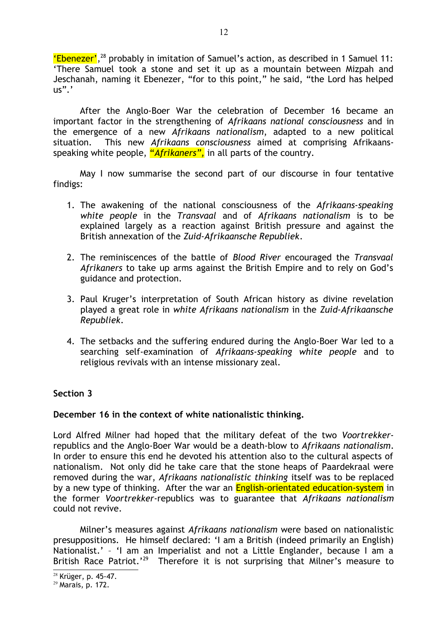'Ebenezer', [28](#page-11-0) probably in imitation of Samuel's action, as described in 1 Samuel 11: 'There Samuel took a stone and set it up as a mountain between Mizpah and Jeschanah, naming it Ebenezer, "for to this point," he said, "the Lord has helped  $\mathsf{u}\mathsf{s}"$ .'

After the Anglo-Boer War the celebration of December 16 became an important factor in the strengthening of *Afrikaans national consciousness* and in the emergence of a new *Afrikaans nationalism*, adapted to a new political situation. This new *Afrikaans consciousness* aimed at comprising Afrikaansspeaking white people, "*Afrikaners",* in all parts of the country.

May I now summarise the second part of our discourse in four tentative findigs:

- 1. The awakening of the national consciousness of the *Afrikaans-speaking white people* in the *Transvaal* and of *Afrikaans nationalism* is to be explained largely as a reaction against British pressure and against the British annexation of the *Zuid-Afrikaansche Republiek*.
- 2. The reminiscences of the battle of *Blood River* encouraged the *Transvaal Afrikaners* to take up arms against the British Empire and to rely on God's guidance and protection.
- 3. Paul Kruger's interpretation of South African history as divine revelation played a great role in *white Afrikaans nationalism* in the *Zuid-Afrikaansche Republiek*.
- 4. The setbacks and the suffering endured during the Anglo-Boer War led to a searching self-examination of *Afrikaans-speaking white people* and to religious revivals with an intense missionary zeal.

# **Section 3**

## **December 16 in the context of white nationalistic thinking.**

Lord Alfred Milner had hoped that the military defeat of the two *Voortrekker*republics and the Anglo-Boer War would be a death-blow to *Afrikaans nationalism*. In order to ensure this end he devoted his attention also to the cultural aspects of nationalism. Not only did he take care that the stone heaps of Paardekraal were removed during the war, *Afrikaans nationalistic thinking* itself was to be replaced by a new type of thinking. After the war an **English-orientated education-system** in the former *Voortrekker*-republics was to guarantee that *Afrikaans nationalism* could not revive.

Milner's measures against *Afrikaans nationalism* were based on nationalistic presuppositions. He himself declared: 'I am a British (indeed primarily an English) Nationalist.' – 'I am an Imperialist and not a Little Englander, because I am a British Race Patriot.'[29](#page-11-1) Therefore it is not surprising that Milner's measure to

<span id="page-11-0"></span> $28$  Krüger, p. 45-47.

<span id="page-11-1"></span> $29$  Marais, p. 172.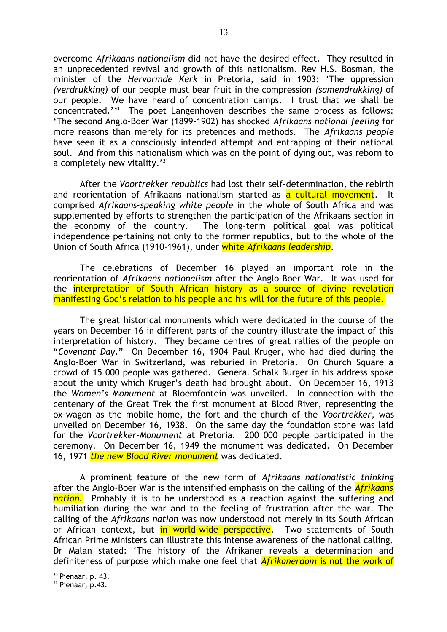overcome *Afrikaans nationalism* did not have the desired effect. They resulted in an unprecedented revival and growth of this nationalism. Rev H.S. Bosman, the minister of the *Hervormde Kerk* in Pretoria, said in 1903: 'The oppression *(verdrukking)* of our people must bear fruit in the compression *(samendrukking)* of our people. We have heard of concentration camps. I trust that we shall be concentrated.'[30](#page-12-0) The poet Langenhoven describes the same process as follows: 'The second Anglo-Boer War (1899-1902) has shocked *Afrikaans national feeling* for more reasons than merely for its pretences and methods. The *Afrikaans people* have seen it as a consciously intended attempt and entrapping of their national soul. And from this nationalism which was on the point of dying out, was reborn to a completely new vitality.'<sup>[31](#page-12-1)</sup>

After the *Voortrekker republics* had lost their self-determination, the rebirth and reorientation of Afrikaans nationalism started as a cultural movement. It comprised *Afrikaans-speaking white people* in the whole of South Africa and was supplemented by efforts to strengthen the participation of the Afrikaans section in the economy of the country. The long-term political goal was political independence pertaining not only to the former republics, but to the whole of the Union of South Africa (1910-1961), under white *Afrikaans leadership*.

The celebrations of December 16 played an important role in the reorientation of *Afrikaans nationalism* after the Anglo-Boer War. It was used for the interpretation of South African history as a source of divine revelation manifesting God's relation to his people and his will for the future of this people.

The great historical monuments which were dedicated in the course of the years on December 16 in different parts of the country illustrate the impact of this interpretation of history. They became centres of great rallies of the people on "*Covenant Day*." On December 16, 1904 Paul Kruger, who had died during the Anglo-Boer War in Switzerland, was reburied in Pretoria. On Church Square a crowd of 15 000 people was gathered. General Schalk Burger in his address spoke about the unity which Kruger's death had brought about. On December 16, 1913 the *Women's Monument* at Bloemfontein was unveiled. In connection with the centenary of the Great Trek the first monument at Blood River, representing the ox-wagon as the mobile home, the fort and the church of the *Voortrekker*, was unveiled on December 16, 1938. On the same day the foundation stone was laid for the *Voortrekker-Monument* at Pretoria. 200 000 people participated in the ceremony. On December 16, 1949 the monument was dedicated. On December 16, 1971 *the new Blood River monument* was dedicated.

A prominent feature of the new form of *Afrikaans nationalistic thinking* after the Anglo-Boer War is the intensified emphasis on the calling of the *Afrikaans nation.* Probably it is to be understood as a reaction against the suffering and humiliation during the war and to the feeling of frustration after the war. The calling of the *Afrikaans nation* was now understood not merely in its South African or African context, but in world-wide perspective. Two statements of South African Prime Ministers can illustrate this intense awareness of the national calling. Dr Malan stated: 'The history of the Afrikaner reveals a determination and definiteness of purpose which make one feel that *Afrikanerdom* is not the work of

<span id="page-12-0"></span> $30$  Pienaar, p. 43.

<span id="page-12-1"></span> $31$  Pienaar, p.43.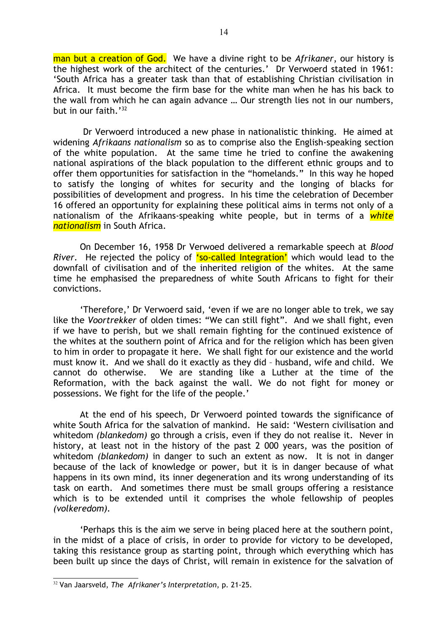man but a creation of God. We have a divine right to be *Afrikaner*, our history is the highest work of the architect of the centuries.' Dr Verwoerd stated in 1961: 'South Africa has a greater task than that of establishing Christian civilisation in Africa. It must become the firm base for the white man when he has his back to the wall from which he can again advance … Our strength lies not in our numbers, but in our faith.'<sup>[32](#page-13-0)</sup>

 Dr Verwoerd introduced a new phase in nationalistic thinking. He aimed at widening *Afrikaans nationalism* so as to comprise also the English-speaking section of the white population. At the same time he tried to confine the awakening national aspirations of the black population to the different ethnic groups and to offer them opportunities for satisfaction in the "homelands." In this way he hoped to satisfy the longing of whites for security and the longing of blacks for possibilities of development and progress. In his time the celebration of December 16 offered an opportunity for explaining these political aims in terms not only of a nationalism of the Afrikaans-speaking white people, but in terms of a *white nationalism* in South Africa.

On December 16, 1958 Dr Verwoed delivered a remarkable speech at *Blood River*. He rejected the policy of 'so-called Integration' which would lead to the downfall of civilisation and of the inherited religion of the whites. At the same time he emphasised the preparedness of white South Africans to fight for their convictions.

'Therefore,' Dr Verwoerd said, 'even if we are no longer able to trek, we say like the *Voortrekker* of olden times: "We can still fight". And we shall fight, even if we have to perish, but we shall remain fighting for the continued existence of the whites at the southern point of Africa and for the religion which has been given to him in order to propagate it here. We shall fight for our existence and the world must know it. And we shall do it exactly as they did – husband, wife and child. We cannot do otherwise. We are standing like a Luther at the time of the Reformation, with the back against the wall. We do not fight for money or possessions. We fight for the life of the people.'

At the end of his speech, Dr Verwoerd pointed towards the significance of white South Africa for the salvation of mankind. He said: 'Western civilisation and whitedom *(blankedom)* go through a crisis, even if they do not realise it. Never in history, at least not in the history of the past 2 000 years, was the position of whitedom *(blankedom)* in danger to such an extent as now. It is not in danger because of the lack of knowledge or power, but it is in danger because of what happens in its own mind, its inner degeneration and its wrong understanding of its task on earth. And sometimes there must be small groups offering a resistance which is to be extended until it comprises the whole fellowship of peoples *(volkeredom).*

'Perhaps this is the aim we serve in being placed here at the southern point, in the midst of a place of crisis, in order to provide for victory to be developed, taking this resistance group as starting point, through which everything which has been built up since the days of Christ, will remain in existence for the salvation of

<span id="page-13-0"></span><sup>32</sup> Van Jaarsveld, *The Afrikaner's Interpretation*, p. 21-25.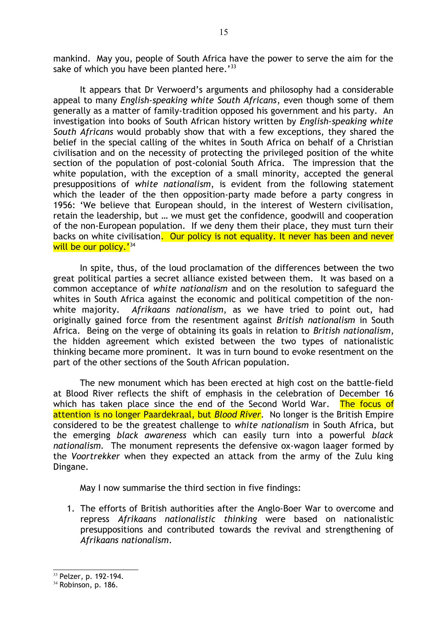mankind. May you, people of South Africa have the power to serve the aim for the sake of which you have been planted here.<sup>'[33](#page-14-0)</sup>

It appears that Dr Verwoerd's arguments and philosophy had a considerable appeal to many *English-speaking white South Africans*, even though some of them generally as a matter of family-tradition opposed his government and his party. An investigation into books of South African history written by *English-speaking white South Africans* would probably show that with a few exceptions, they shared the belief in the special calling of the whites in South Africa on behalf of a Christian civilisation and on the necessity of protecting the privileged position of the white section of the population of post-colonial South Africa. The impression that the white population, with the exception of a small minority, accepted the general presuppositions of *white nationalism*, is evident from the following statement which the leader of the then opposition-party made before a party congress in 1956: 'We believe that European should, in the interest of Western civilisation, retain the leadership, but … we must get the confidence, goodwill and cooperation of the non-European population. If we deny them their place, they must turn their backs on white civilisation. Our policy is not equality. It never has been and never will be our policy.'<sup>[34](#page-14-1)</sup>

In spite, thus, of the loud proclamation of the differences between the two great political parties a secret alliance existed between them. It was based on a common acceptance of *white nationalism* and on the resolution to safeguard the whites in South Africa against the economic and political competition of the nonwhite majority. *Afrikaans nationalism*, as we have tried to point out, had originally gained force from the resentment against *British nationalism* in South Africa. Being on the verge of obtaining its goals in relation to *British nationalism*, the hidden agreement which existed between the two types of nationalistic thinking became more prominent. It was in turn bound to evoke resentment on the part of the other sections of the South African population.

The new monument which has been erected at high cost on the battle-field at Blood River reflects the shift of emphasis in the celebration of December 16 which has taken place since the end of the Second World War. The focus of attention is no longer Paardekraal, but *Blood River*. No longer is the British Empire considered to be the greatest challenge to *white nationalism* in South Africa, but the emerging *black awareness* which can easily turn into a powerful *black nationalism.* The monument represents the defensive ox-wagon laager formed by the *Voortrekker* when they expected an attack from the army of the Zulu king Dingane.

May I now summarise the third section in five findings:

1. The efforts of British authorities after the Anglo-Boer War to overcome and repress *Afrikaans nationalistic thinking* were based on nationalistic presuppositions and contributed towards the revival and strengthening of *Afrikaans nationalism*.

<span id="page-14-0"></span><sup>33</sup> Pelzer, p. 192-194.

<span id="page-14-1"></span><sup>&</sup>lt;sup>34</sup> Robinson, p. 186.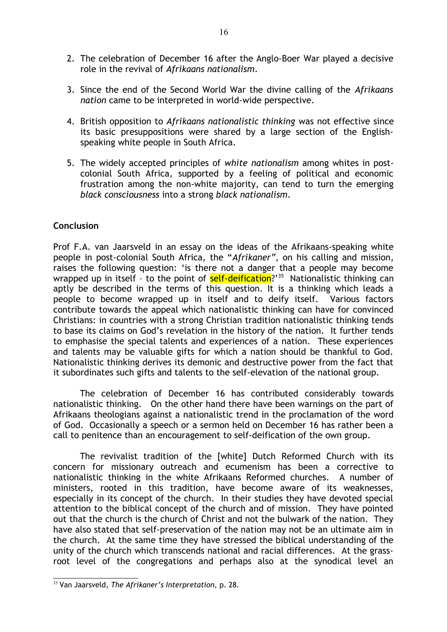- 2. The celebration of December 16 after the Anglo-Boer War played a decisive role in the revival of *Afrikaans nationalism*.
- 3. Since the end of the Second World War the divine calling of the *Afrikaans nation* came to be interpreted in world-wide perspective.
- 4. British opposition to *Afrikaans nationalistic thinking* was not effective since its basic presuppositions were shared by a large section of the Englishspeaking white people in South Africa.
- 5. The widely accepted principles of *white nationalism* among whites in postcolonial South Africa, supported by a feeling of political and economic frustration among the non-white majority, can tend to turn the emerging *black consciousness* into a strong *black nationalism*.

# **Conclusion**

Prof F.A. van Jaarsveld in an essay on the ideas of the Afrikaans-speaking white people in post-colonial South Africa, the "*Afrikaner",* on his calling and mission, raises the following question: 'is there not a danger that a people may become wrapped up in itself - to the point of self-deification?'<sup>[35](#page-15-0)</sup> Nationalistic thinking can aptly be described in the terms of this question. It is a thinking which leads a people to become wrapped up in itself and to deify itself. Various factors contribute towards the appeal which nationalistic thinking can have for convinced Christians: in countries with a strong Christian tradition nationalistic thinking tends to base its claims on God's revelation in the history of the nation. It further tends to emphasise the special talents and experiences of a nation. These experiences and talents may be valuable gifts for which a nation should be thankful to God. Nationalistic thinking derives its demonic and destructive power from the fact that it subordinates such gifts and talents to the self-elevation of the national group.

The celebration of December 16 has contributed considerably towards nationalistic thinking. On the other hand there have been warnings on the part of Afrikaans theologians against a nationalistic trend in the proclamation of the word of God. Occasionally a speech or a sermon held on December 16 has rather been a call to penitence than an encouragement to self-deification of the own group.

The revivalist tradition of the [white] Dutch Reformed Church with its concern for missionary outreach and ecumenism has been a corrective to nationalistic thinking in the white Afrikaans Reformed churches. A number of ministers, rooted in this tradition, have become aware of its weaknesses, especially in its concept of the church. In their studies they have devoted special attention to the biblical concept of the church and of mission. They have pointed out that the church is the church of Christ and not the bulwark of the nation. They have also stated that self-preservation of the nation may not be an ultimate aim in the church. At the same time they have stressed the biblical understanding of the unity of the church which transcends national and racial differences. At the grassroot level of the congregations and perhaps also at the synodical level an

<span id="page-15-0"></span><sup>35</sup> Van Jaarsveld, *The Afrikaner's Interpretation,* p. 28.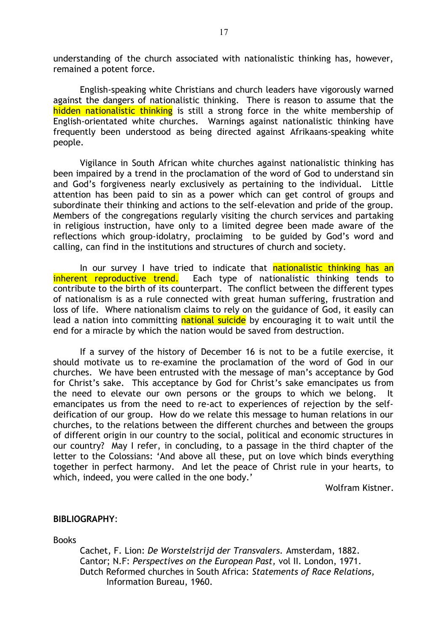understanding of the church associated with nationalistic thinking has, however, remained a potent force.

English-speaking white Christians and church leaders have vigorously warned against the dangers of nationalistic thinking. There is reason to assume that the hidden nationalistic thinking is still a strong force in the white membership of English-orientated white churches. Warnings against nationalistic thinking have frequently been understood as being directed against Afrikaans-speaking white people.

Vigilance in South African white churches against nationalistic thinking has been impaired by a trend in the proclamation of the word of God to understand sin and God's forgiveness nearly exclusively as pertaining to the individual. Little attention has been paid to sin as a power which can get control of groups and subordinate their thinking and actions to the self-elevation and pride of the group. Members of the congregations regularly visiting the church services and partaking in religious instruction, have only to a limited degree been made aware of the reflections which group-idolatry, proclaiming to be guided by God's word and calling, can find in the institutions and structures of church and society.

In our survey I have tried to indicate that nationalistic thinking has an inherent reproductive trend. Each type of nationalistic thinking tends to contribute to the birth of its counterpart. The conflict between the different types of nationalism is as a rule connected with great human suffering, frustration and loss of life. Where nationalism claims to rely on the guidance of God, it easily can lead a nation into committing national suicide by encouraging it to wait until the end for a miracle by which the nation would be saved from destruction.

If a survey of the history of December 16 is not to be a futile exercise, it should motivate us to re-examine the proclamation of the word of God in our churches. We have been entrusted with the message of man's acceptance by God for Christ's sake. This acceptance by God for Christ's sake emancipates us from the need to elevate our own persons or the groups to which we belong. It emancipates us from the need to re-act to experiences of rejection by the selfdeification of our group. How do we relate this message to human relations in our churches, to the relations between the different churches and between the groups of different origin in our country to the social, political and economic structures in our country? May I refer, in concluding, to a passage in the third chapter of the letter to the Colossians: 'And above all these, put on love which binds everything together in perfect harmony. And let the peace of Christ rule in your hearts, to which, indeed, you were called in the one body.'

Wolfram Kistner.

#### **BIBLIOGRAPHY**:

**Books** 

Cachet, F. Lion: *De Worstelstrijd der Transvalers.* Amsterdam, 1882. Cantor; N.F: *Perspectives on the European Past,* vol II. London, 1971. Dutch Reformed churches in South Africa: *Statements of Race Relations,*  Information Bureau, 1960.